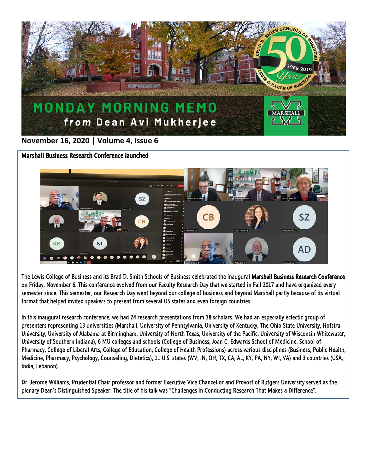

## **November 16, 2020 | Volume 4, Issue 6**

Marshall Business Research Conference launched



The Lewis College of Business and its Brad D. Smith Schools of Business celebrated the inaugural Marshall Business Research Conference on Friday, November 6. This conference evolved from our Faculty Research Day that we started in Fall 2017 and have organized every semester since. This semester, our Research Day went beyond our college of business and beyond Marshall partly because of its virtual format that helped invited speakers to present from several US states and even foreign countries.

In this inaugural research conference, we had 24 research presentations from 38 scholars. We had an especially eclectic group of presenters representing 13 universities (Marshall, University of Pennsylvania, University of Kentucky, The Ohio State University, Hofstra University, University of Alabama at Birmingham, University of North Texas, University of the Pacific, University of Wisconsin Whitewater, University of Southern Indiana), 6 MU colleges and schools (College of Business, Joan C. Edwards School of Medicine, School of Pharmacy, College of Liberal Arts, College of Education, College of Health Professions) across various disciplines (Business, Public Health, Medicine, Pharmacy, Psychology, Counseling, Dietetics), 11 U.S. states (WV, IN, OH, TX, CA, AL, KY, PA, NY, WI, VA) and 3 countries (USA, India, Lebanon).

Dr. Jerome Williams, Prudential Chair professor and former Executive Vice Chancellor and Provost of Rutgers University served as the plenary Dean's Distinguished Speaker. The title of his talk was "Challenges in Conducting Research That Makes a Difference".